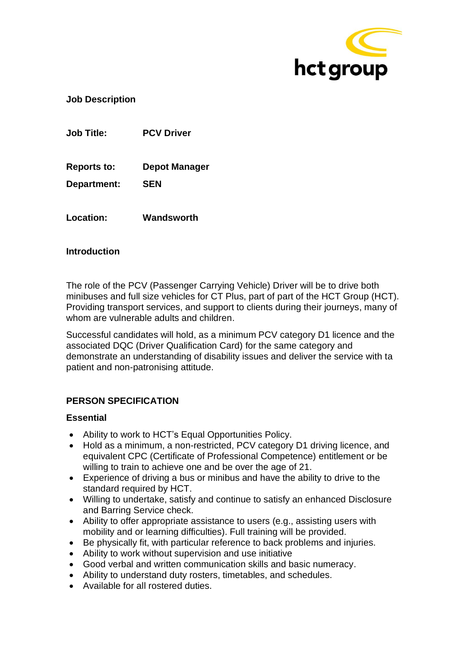

**Job Description**

**Job Title: PCV Driver**

**Reports to: Depot Manager**

**Department: SEN**

**Location: Wandsworth**

## **Introduction**

The role of the PCV (Passenger Carrying Vehicle) Driver will be to drive both minibuses and full size vehicles for CT Plus, part of part of the HCT Group (HCT). Providing transport services, and support to clients during their journeys, many of whom are vulnerable adults and children.

Successful candidates will hold, as a minimum PCV category D1 licence and the associated DQC (Driver Qualification Card) for the same category and demonstrate an understanding of disability issues and deliver the service with ta patient and non-patronising attitude.

# **PERSON SPECIFICATION**

## **Essential**

- Ability to work to HCT's Equal Opportunities Policy.
- Hold as a minimum, a non-restricted, PCV category D1 driving licence, and equivalent CPC (Certificate of Professional Competence) entitlement or be willing to train to achieve one and be over the age of 21.
- Experience of driving a bus or minibus and have the ability to drive to the standard required by HCT.
- Willing to undertake, satisfy and continue to satisfy an enhanced Disclosure and Barring Service check.
- Ability to offer appropriate assistance to users (e.g., assisting users with mobility and or learning difficulties). Full training will be provided.
- Be physically fit, with particular reference to back problems and injuries.
- Ability to work without supervision and use initiative
- Good verbal and written communication skills and basic numeracy.
- Ability to understand duty rosters, timetables, and schedules.
- Available for all rostered duties.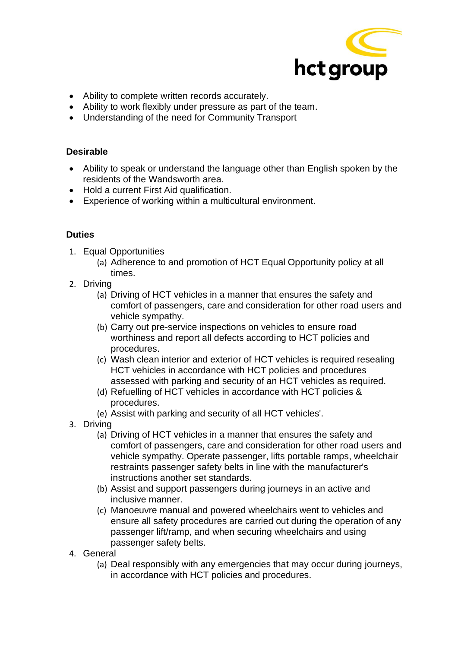

- Ability to complete written records accurately.
- Ability to work flexibly under pressure as part of the team.
- Understanding of the need for Community Transport

### **Desirable**

- Ability to speak or understand the language other than English spoken by the residents of the Wandsworth area.
- Hold a current First Aid qualification.
- Experience of working within a multicultural environment.

## **Duties**

- 1. Equal Opportunities
	- (a) Adherence to and promotion of HCT Equal Opportunity policy at all times.
- 2. Driving
	- (a) Driving of HCT vehicles in a manner that ensures the safety and comfort of passengers, care and consideration for other road users and vehicle sympathy.
	- (b) Carry out pre-service inspections on vehicles to ensure road worthiness and report all defects according to HCT policies and procedures.
	- (c) Wash clean interior and exterior of HCT vehicles is required resealing HCT vehicles in accordance with HCT policies and procedures assessed with parking and security of an HCT vehicles as required.
	- (d) Refuelling of HCT vehicles in accordance with HCT policies & procedures.
	- (e) Assist with parking and security of all HCT vehicles'.
- 3. Driving
	- (a) Driving of HCT vehicles in a manner that ensures the safety and comfort of passengers, care and consideration for other road users and vehicle sympathy. Operate passenger, lifts portable ramps, wheelchair restraints passenger safety belts in line with the manufacturer's instructions another set standards.
	- (b) Assist and support passengers during journeys in an active and inclusive manner.
	- (c) Manoeuvre manual and powered wheelchairs went to vehicles and ensure all safety procedures are carried out during the operation of any passenger lift/ramp, and when securing wheelchairs and using passenger safety belts.
- 4. General
	- (a) Deal responsibly with any emergencies that may occur during journeys, in accordance with HCT policies and procedures.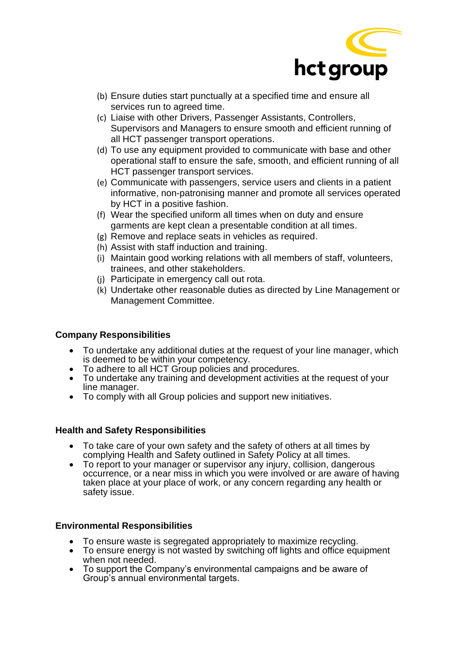

- (b) Ensure duties start punctually at a specified time and ensure all services run to agreed time.
- (c) Liaise with other Drivers, Passenger Assistants, Controllers, Supervisors and Managers to ensure smooth and efficient running of all HCT passenger transport operations.
- (d) To use any equipment provided to communicate with base and other operational staff to ensure the safe, smooth, and efficient running of all HCT passenger transport services.
- (e) Communicate with passengers, service users and clients in a patient informative, non-patronising manner and promote all services operated by HCT in a positive fashion.
- (f) Wear the specified uniform all times when on duty and ensure garments are kept clean a presentable condition at all times.
- (g) Remove and replace seats in vehicles as required.
- (h) Assist with staff induction and training.
- (i) Maintain good working relations with all members of staff, volunteers, trainees, and other stakeholders.
- (j) Participate in emergency call out rota.
- (k) Undertake other reasonable duties as directed by Line Management or Management Committee.

# **Company Responsibilities**

- To undertake any additional duties at the request of your line manager, which is deemed to be within your competency.
- To adhere to all HCT Group policies and procedures.
- To undertake any training and development activities at the request of your line manager.
- To comply with all Group policies and support new initiatives.

## **Health and Safety Responsibilities**

- To take care of your own safety and the safety of others at all times by complying Health and Safety outlined in Safety Policy at all times.
- To report to your manager or supervisor any injury, collision, dangerous occurrence, or a near miss in which you were involved or are aware of having taken place at your place of work, or any concern regarding any health or safety issue.

## **Environmental Responsibilities**

- To ensure waste is segregated appropriately to maximize recycling.
- To ensure energy is not wasted by switching off lights and office equipment when not needed.
- To support the Company's environmental campaigns and be aware of Group's annual environmental targets.